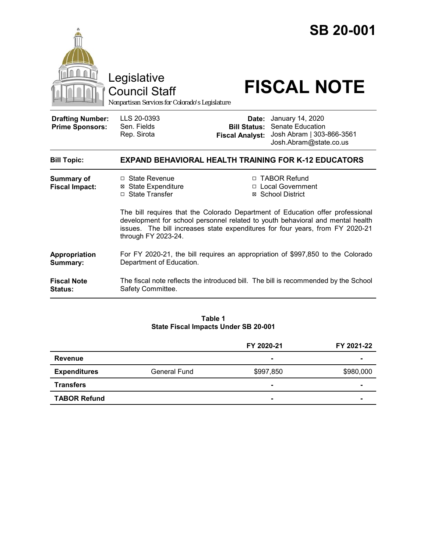|                                                   | Legislative<br><b>Council Staff</b><br>Nonpartisan Services for Colorado's Legislature                                                                                                 |                                 | <b>SB 20-001</b><br><b>FISCAL NOTE</b>                                                                                                      |  |
|---------------------------------------------------|----------------------------------------------------------------------------------------------------------------------------------------------------------------------------------------|---------------------------------|---------------------------------------------------------------------------------------------------------------------------------------------|--|
| <b>Drafting Number:</b><br><b>Prime Sponsors:</b> | LLS 20-0393<br>Sen. Fields<br>Rep. Sirota                                                                                                                                              | Date:<br><b>Fiscal Analyst:</b> | January 14, 2020<br><b>Bill Status: Senate Education</b><br>Josh Abram   303-866-3561<br>Josh.Abram@state.co.us                             |  |
| <b>Bill Topic:</b>                                | <b>EXPAND BEHAVIORAL HEALTH TRAINING FOR K-12 EDUCATORS</b>                                                                                                                            |                                 |                                                                                                                                             |  |
| <b>Summary of</b><br><b>Fiscal Impact:</b>        | $\Box$ State Revenue<br><b>⊠ State Expenditure</b><br>□ State Transfer                                                                                                                 |                                 | □ TABOR Refund<br>□ Local Government<br>⊠ School District<br>The bill requires that the Colorado Department of Education offer professional |  |
|                                                   | development for school personnel related to youth behavioral and mental health<br>issues. The bill increases state expenditures for four years, from FY 2020-21<br>through FY 2023-24. |                                 |                                                                                                                                             |  |
| Appropriation<br>Summary:                         | For FY 2020-21, the bill requires an appropriation of \$997,850 to the Colorado<br>Department of Education.                                                                            |                                 |                                                                                                                                             |  |
| <b>Fiscal Note</b><br>Status:                     | Safety Committee.                                                                                                                                                                      |                                 | The fiscal note reflects the introduced bill. The bill is recommended by the School                                                         |  |

**Table 1 State Fiscal Impacts Under SB 20-001**

|                     |                     | FY 2020-21     | FY 2021-22     |
|---------------------|---------------------|----------------|----------------|
| <b>Revenue</b>      |                     | $\blacksquare$ | $\blacksquare$ |
| <b>Expenditures</b> | <b>General Fund</b> | \$997,850      | \$980,000      |
| <b>Transfers</b>    |                     |                | -              |
| <b>TABOR Refund</b> |                     | $\blacksquare$ | ۰              |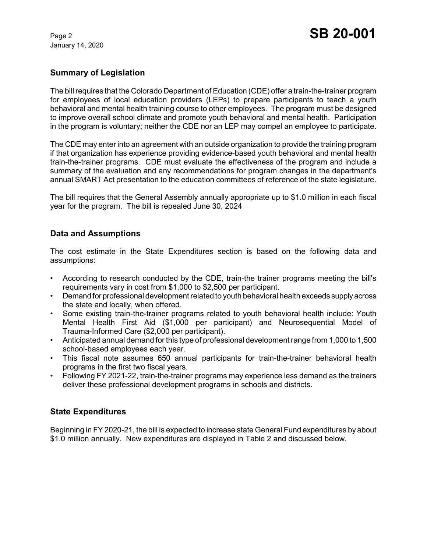January 14, 2020

#### **Summary of Legislation**

The bill requires that the Colorado Department of Education (CDE) offer a train-the-trainer program for employees of local education providers (LEPs) to prepare participants to teach a youth behavioral and mental health training course to other employees. The program must be designed to improve overall school climate and promote youth behavioral and mental health. Participation in the program is voluntary; neither the CDE nor an LEP may compel an employee to participate.

The CDE may enter into an agreement with an outside organization to provide the training program if that organization has experience providing evidence-based youth behavioral and mental health train-the-trainer programs. CDE must evaluate the effectiveness of the program and include a summary of the evaluation and any recommendations for program changes in the department's annual SMART Act presentation to the education committees of reference of the state legislature.

The bill requires that the General Assembly annually appropriate up to \$1.0 million in each fiscal year for the program. The bill is repealed June 30, 2024

## **Data and Assumptions**

The cost estimate in the State Expenditures section is based on the following data and assumptions:

- According to research conducted by the CDE, train-the trainer programs meeting the bill's requirements vary in cost from \$1,000 to \$2,500 per participant.
- Demand for professional development related to youth behavioral health exceeds supply across the state and locally, when offered.
- Some existing train-the-trainer programs related to youth behavioral health include: Youth Mental Health First Aid (\$1,000 per participant) and Neurosequential Model of Trauma-Informed Care (\$2,000 per participant).
- Anticipated annual demand for this type of professional development range from 1,000 to 1,500 school-based employees each year.
- This fiscal note assumes 650 annual participants for train-the-trainer behavioral health programs in the first two fiscal years.
- Following FY 2021-22, train-the-trainer programs may experience less demand as the trainers deliver these professional development programs in schools and districts.

#### **State Expenditures**

Beginning in FY 2020-21, the bill is expected to increase state General Fund expenditures by about \$1.0 million annually. New expenditures are displayed in Table 2 and discussed below.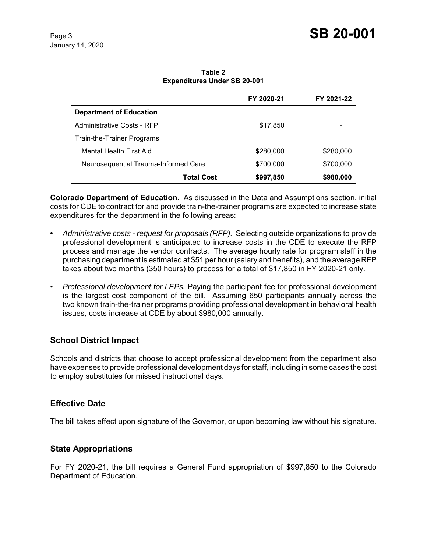**Table 2 Expenditures Under SB 20-001**

|                                      | FY 2020-21 | FY 2021-22 |
|--------------------------------------|------------|------------|
| <b>Department of Education</b>       |            |            |
| Administrative Costs - RFP           | \$17,850   |            |
| Train-the-Trainer Programs           |            |            |
| Mental Health First Aid              | \$280,000  | \$280,000  |
| Neurosequential Trauma-Informed Care | \$700,000  | \$700,000  |
| <b>Total Cost</b>                    | \$997,850  | \$980,000  |

**Colorado Department of Education.** As discussed in the Data and Assumptions section, initial costs for CDE to contract for and provide train-the-trainer programs are expected to increase state expenditures for the department in the following areas:

- **•** *Administrative costs request for proposals (RFP).* Selecting outside organizations to provide professional development is anticipated to increase costs in the CDE to execute the RFP process and manage the vendor contracts. The average hourly rate for program staff in the purchasing department is estimated at \$51 per hour (salary and benefits), and the average RFP takes about two months (350 hours) to process for a total of \$17,850 in FY 2020-21 only.
- *Professional development for LEPs.* Paying the participant fee for professional development is the largest cost component of the bill. Assuming 650 participants annually across the two known train-the-trainer programs providing professional development in behavioral health issues, costs increase at CDE by about \$980,000 annually.

#### **School District Impact**

Schools and districts that choose to accept professional development from the department also have expenses to provide professional development days for staff, including in some cases the cost to employ substitutes for missed instructional days.

#### **Effective Date**

The bill takes effect upon signature of the Governor, or upon becoming law without his signature.

#### **State Appropriations**

For FY 2020-21, the bill requires a General Fund appropriation of \$997,850 to the Colorado Department of Education.